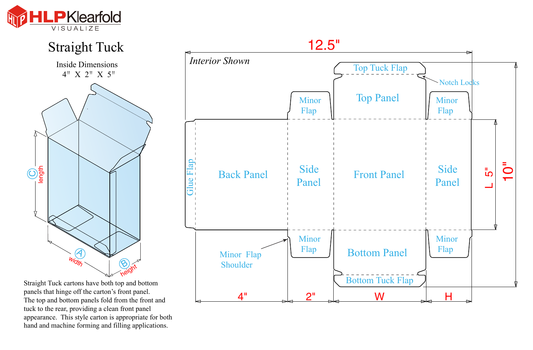



Straight Tuck cartons have both top and bottom panels that hinge off the carton's front panel. The top and bottom panels fold from the front and tuck to the rear, providing a clean front panel appearance. This style carton is appropriate for both hand and machine forming and filling applications.

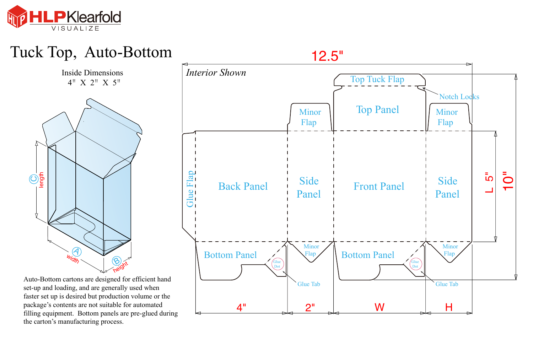

## Tuck Top, Auto-Bottom

Inside Dimensions 4"X 2"X 5"



Auto-Bottom cartons are designed for efficient hand set-up and loading, and are generally used when faster set up is desired but production volume or the package's contents are not suitable for automated filling equipment. Bottom panels are pre-glued during the carton's manufacturing process.

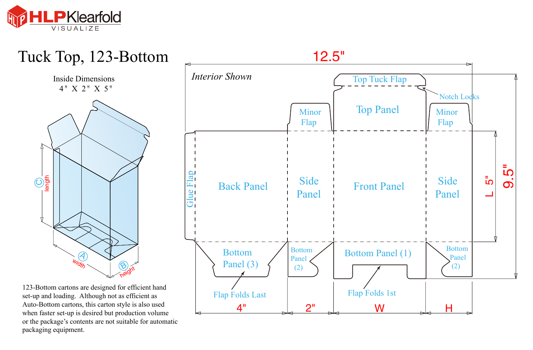



when faster set-up is desired but production volume or the package's contents are not suitable for automatic packaging equipment.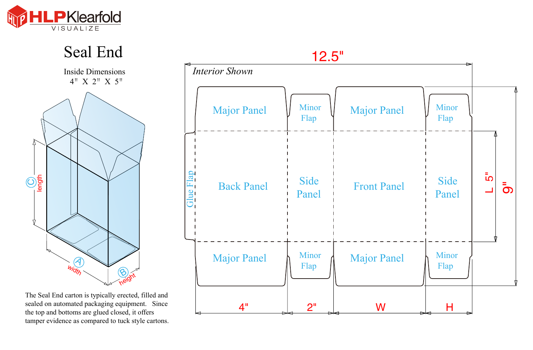



The Seal End carton is typically erected, filled and sealed on automated packaging equipment. Since the top and bottoms are glued closed, it offers tamper evidence as compared to tuck style cartons.

|           | 12.5"                 |                      |                    |                      |                     |
|-----------|-----------------------|----------------------|--------------------|----------------------|---------------------|
|           | <b>Interior Shown</b> |                      |                    |                      |                     |
|           | <b>Major Panel</b>    | <b>Minor</b><br>Flap | <b>Major Panel</b> | <b>Minor</b><br>Flap |                     |
| Glue Flap | <b>Back Panel</b>     | Side<br>Panel        | <b>Front Panel</b> | Side<br>Panel        | ت<br>م<br>$\bar{5}$ |
|           | <b>Major Panel</b>    | Minor<br>Flap        | <b>Major Panel</b> | <b>Minor</b><br>Flap |                     |
|           | 4 <sup>11</sup>       | 2 <sup>n</sup><br>⇛  | W                  | Н                    |                     |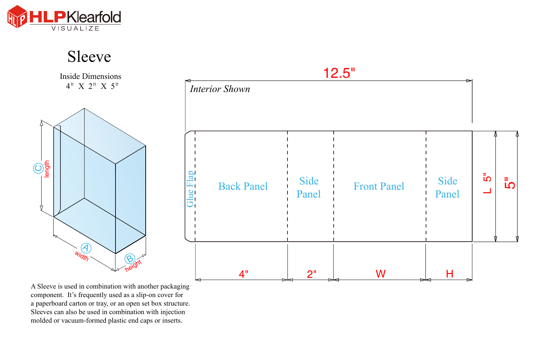

Sleeve

Inside Dimensions<br> $4'' \times 2'' \times 5''$ 



A Sleeve is used in combination with another packaging component. It's frequently used as a slip-on cover for a paperboard carton or tray, or an open set box structure. Sleeves can also be used in combination with injection molded or vacuum-formed plastic end caps or inserts.